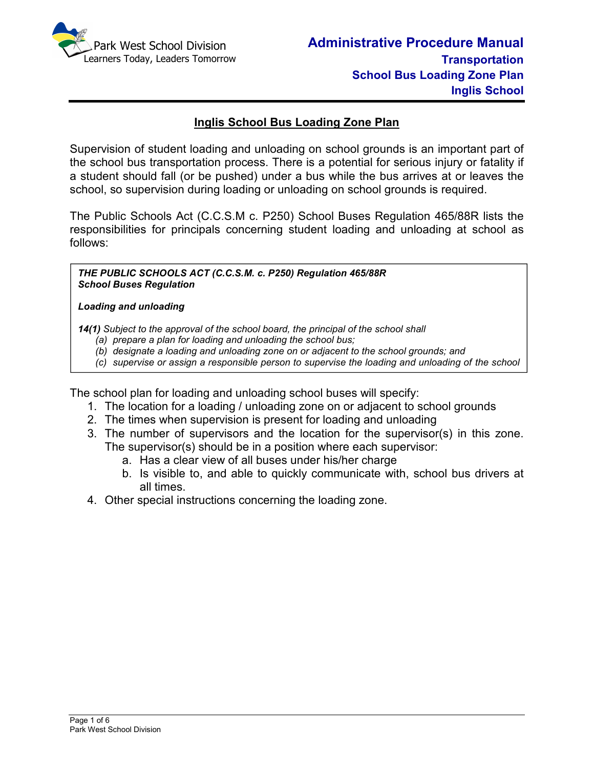

### **Inglis School Bus Loading Zone Plan**

Supervision of student loading and unloading on school grounds is an important part of the school bus transportation process. There is a potential for serious injury or fatality if a student should fall (or be pushed) under a bus while the bus arrives at or leaves the school, so supervision during loading or unloading on school grounds is required.

The Public Schools Act (C.C.S.M c. P250) School Buses Regulation 465/88R lists the responsibilities for principals concerning student loading and unloading at school as follows:

*THE PUBLIC SCHOOLS ACT (C.C.S.M. c. P250) Regulation 465/88R School Buses Regulation* 

#### *Loading and unloading*

*bus.*

*14(1) Subject to the approval of the school board, the principal of the school shall* 

- *(a) prepare a plan for loading and unloading the school bus;*
- *(b) designate a loading and unloading zone on or adjacent to the school grounds; and*
- *(c) supervise or assign a responsible person to supervise the loading and unloading of the school*

The school plan for loading and unloading school buses will specify:

- 1. The location for a loading / unloading zone on or adjacent to school grounds
- 2. The times when supervision is present for loading and unloading
- 3. The number of supervisors and the location for the supervisor(s) in this zone. The supervisor(s) should be in a position where each supervisor:
	- a. Has a clear view of all buses under his/her charge
	- b. Is visible to, and able to quickly communicate with, school bus drivers at all times.
- 4. Other special instructions concerning the loading zone.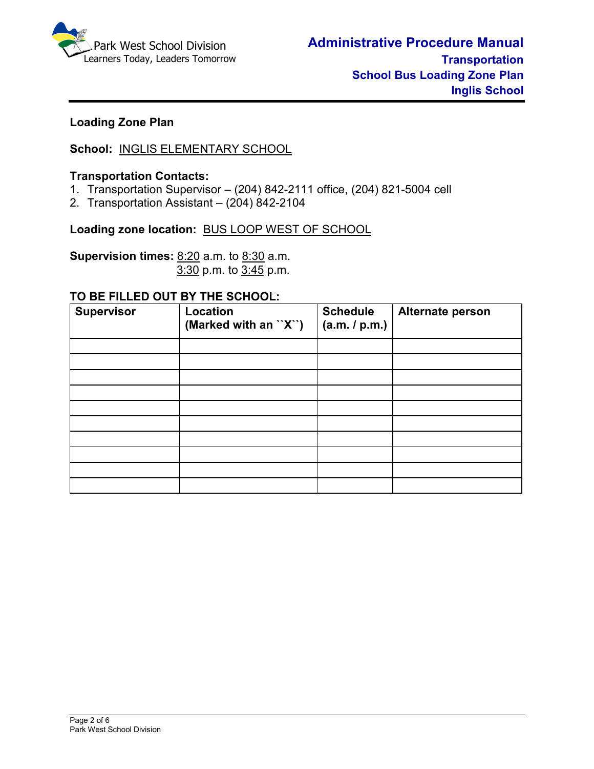

### **Loading Zone Plan**

### **School:** INGLIS ELEMENTARY SCHOOL

#### **Transportation Contacts:**

- 1. Transportation Supervisor (204) 842-2111 office, (204) 821-5004 cell
- 2. Transportation Assistant (204) 842-2104

**Loading zone location:** BUS LOOP WEST OF SCHOOL

**Supervision times:** 8:20 a.m. to 8:30 a.m.3:30 p.m. to 3:45 p.m.

#### **TO BE FILLED OUT BY THE SCHOOL:**

| <b>Supervisor</b> | Location<br>(Marked with an ``X``) | <b>Schedule</b><br>(a.m. / p.m.) | Alternate person |
|-------------------|------------------------------------|----------------------------------|------------------|
|                   |                                    |                                  |                  |
|                   |                                    |                                  |                  |
|                   |                                    |                                  |                  |
|                   |                                    |                                  |                  |
|                   |                                    |                                  |                  |
|                   |                                    |                                  |                  |
|                   |                                    |                                  |                  |
|                   |                                    |                                  |                  |
|                   |                                    |                                  |                  |
|                   |                                    |                                  |                  |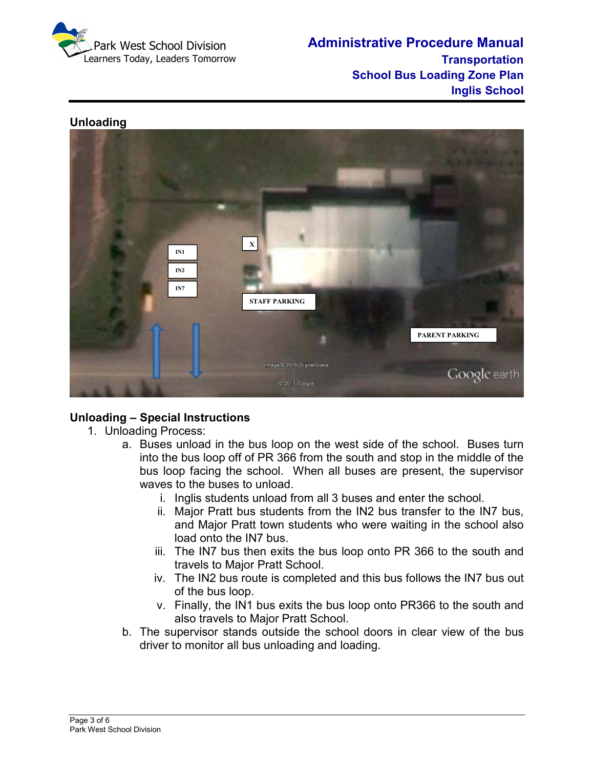

**Administrative Procedure Manual Transportation School Bus Loading Zone Plan Inglis School** 

#### **Unloading**



## **Unloading – Special Instructions**

- 1. Unloading Process:
	- a. Buses unload in the bus loop on the west side of the school. Buses turn into the bus loop off of PR 366 from the south and stop in the middle of the bus loop facing the school. When all buses are present, the supervisor waves to the buses to unload.
		- i. Inglis students unload from all 3 buses and enter the school.
		- ii. Major Pratt bus students from the IN2 bus transfer to the IN7 bus, and Major Pratt town students who were waiting in the school also load onto the IN7 bus.
		- iii. The IN7 bus then exits the bus loop onto PR 366 to the south and travels to Major Pratt School.
		- iv. The IN2 bus route is completed and this bus follows the IN7 bus out of the bus loop.
		- v. Finally, the IN1 bus exits the bus loop onto PR366 to the south and also travels to Major Pratt School.
	- b. The supervisor stands outside the school doors in clear view of the bus driver to monitor all bus unloading and loading.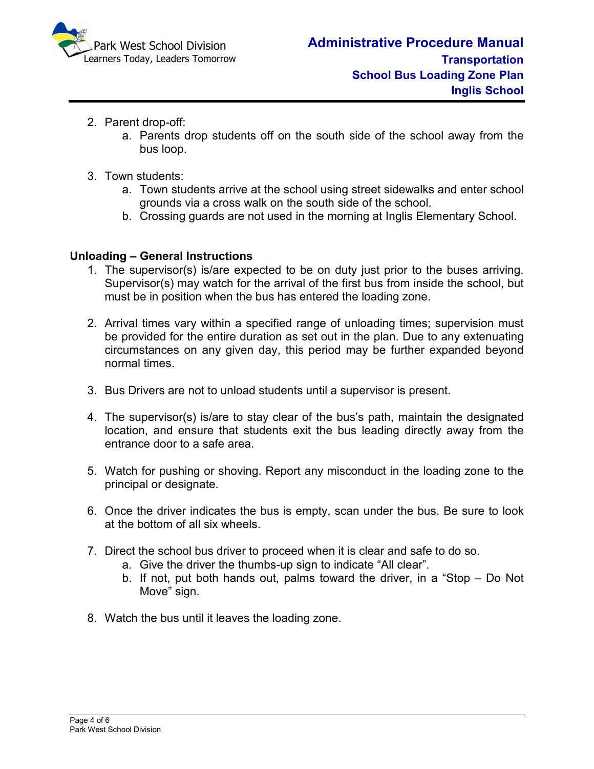

- 2. Parent drop-off:
	- a. Parents drop students off on the south side of the school away from the bus loop.
- 3. Town students:
	- a. Town students arrive at the school using street sidewalks and enter school grounds via a cross walk on the south side of the school.
	- b. Crossing guards are not used in the morning at Inglis Elementary School.

#### **Unloading – General Instructions**

- 1. The supervisor(s) is/are expected to be on duty just prior to the buses arriving. Supervisor(s) may watch for the arrival of the first bus from inside the school, but must be in position when the bus has entered the loading zone.
- 2. Arrival times vary within a specified range of unloading times; supervision must be provided for the entire duration as set out in the plan. Due to any extenuating circumstances on any given day, this period may be further expanded beyond normal times.
- 3. Bus Drivers are not to unload students until a supervisor is present.
- 4. The supervisor(s) is/are to stay clear of the bus's path, maintain the designated location, and ensure that students exit the bus leading directly away from the entrance door to a safe area.
- 5. Watch for pushing or shoving. Report any misconduct in the loading zone to the principal or designate.
- 6. Once the driver indicates the bus is empty, scan under the bus. Be sure to look at the bottom of all six wheels.
- 7. Direct the school bus driver to proceed when it is clear and safe to do so.
	- a. Give the driver the thumbs-up sign to indicate "All clear".
	- b. If not, put both hands out, palms toward the driver, in a "Stop Do Not Move" sign.
- 8. Watch the bus until it leaves the loading zone.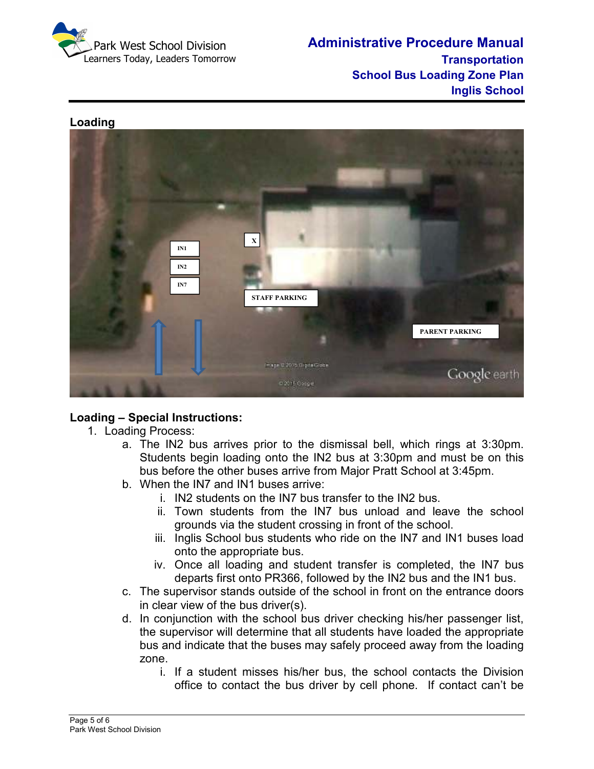

**Administrative Procedure Manual Transportation School Bus Loading Zone Plan Inglis School** 



## **Loading – Special Instructions:**

- 1. Loading Process:
	- a. The IN2 bus arrives prior to the dismissal bell, which rings at 3:30pm. Students begin loading onto the IN2 bus at 3:30pm and must be on this bus before the other buses arrive from Major Pratt School at 3:45pm.
	- b. When the IN7 and IN1 buses arrive:
		- i. IN2 students on the IN7 bus transfer to the IN2 bus.
		- ii. Town students from the IN7 bus unload and leave the school grounds via the student crossing in front of the school.
		- iii. Inglis School bus students who ride on the IN7 and IN1 buses load onto the appropriate bus.
		- iv. Once all loading and student transfer is completed, the IN7 bus departs first onto PR366, followed by the IN2 bus and the IN1 bus.
	- c. The supervisor stands outside of the school in front on the entrance doors in clear view of the bus driver(s).
	- d. In conjunction with the school bus driver checking his/her passenger list, the supervisor will determine that all students have loaded the appropriate bus and indicate that the buses may safely proceed away from the loading zone.
		- i. If a student misses his/her bus, the school contacts the Division office to contact the bus driver by cell phone. If contact can't be

# **Loading**